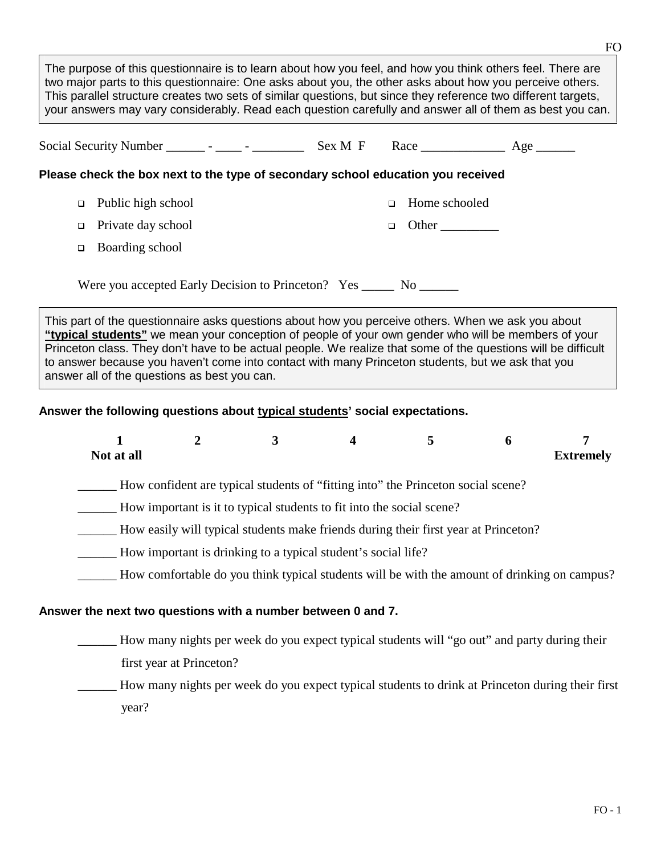| The purpose of this questionnaire is to learn about how you feel, and how you think others feel. There are<br>two major parts to this questionnaire: One asks about you, the other asks about how you perceive others.<br>This parallel structure creates two sets of similar questions, but since they reference two different targets,<br>your answers may vary considerably. Read each question carefully and answer all of them as best you can. |                                                                                                                                                                                                                                                                                                                                                                                                                                 |                 |  |  |  |  |  |  |
|------------------------------------------------------------------------------------------------------------------------------------------------------------------------------------------------------------------------------------------------------------------------------------------------------------------------------------------------------------------------------------------------------------------------------------------------------|---------------------------------------------------------------------------------------------------------------------------------------------------------------------------------------------------------------------------------------------------------------------------------------------------------------------------------------------------------------------------------------------------------------------------------|-----------------|--|--|--|--|--|--|
|                                                                                                                                                                                                                                                                                                                                                                                                                                                      |                                                                                                                                                                                                                                                                                                                                                                                                                                 |                 |  |  |  |  |  |  |
|                                                                                                                                                                                                                                                                                                                                                                                                                                                      | Please check the box next to the type of secondary school education you received                                                                                                                                                                                                                                                                                                                                                |                 |  |  |  |  |  |  |
|                                                                                                                                                                                                                                                                                                                                                                                                                                                      | $\Box$ Public high school                                                                                                                                                                                                                                                                                                                                                                                                       | □ Home schooled |  |  |  |  |  |  |
|                                                                                                                                                                                                                                                                                                                                                                                                                                                      | $\Box$ Private day school                                                                                                                                                                                                                                                                                                                                                                                                       | $\Box$ Other    |  |  |  |  |  |  |
|                                                                                                                                                                                                                                                                                                                                                                                                                                                      | $\Box$ Boarding school                                                                                                                                                                                                                                                                                                                                                                                                          |                 |  |  |  |  |  |  |
| Were you accepted Early Decision to Princeton? Yes ______ No ______                                                                                                                                                                                                                                                                                                                                                                                  |                                                                                                                                                                                                                                                                                                                                                                                                                                 |                 |  |  |  |  |  |  |
|                                                                                                                                                                                                                                                                                                                                                                                                                                                      | This part of the questionnaire asks questions about how you perceive others. When we ask you about<br>"typical students" we mean your conception of people of your own gender who will be members of your<br>Princeton class. They don't have to be actual people. We realize that some of the questions will be difficult<br>to answer because you haven't come into contact with many Princeton students, but we ask that you |                 |  |  |  |  |  |  |

answer all of the questions as best you can.

## **Answer the following questions about typical students' social expectations.**

| Not at all                                                                          |  |                                                               |  |                                                                                  | O | <b>Extremely</b> |  |  |
|-------------------------------------------------------------------------------------|--|---------------------------------------------------------------|--|----------------------------------------------------------------------------------|---|------------------|--|--|
|                                                                                     |  |                                                               |  | How confident are typical students of "fitting into" the Princeton social scene? |   |                  |  |  |
| How important is it to typical students to fit into the social scene?               |  |                                                               |  |                                                                                  |   |                  |  |  |
| How easily will typical students make friends during their first year at Princeton? |  |                                                               |  |                                                                                  |   |                  |  |  |
|                                                                                     |  | How important is drinking to a typical student's social life? |  |                                                                                  |   |                  |  |  |

How comfortable do you think typical students will be with the amount of drinking on campus?

## **Answer the next two questions with a number between 0 and 7.**

\_\_\_\_\_\_ How many nights per week do you expect typical students will "go out" and party during their first year at Princeton?

How many nights per week do you expect typical students to drink at Princeton during their first year?

FO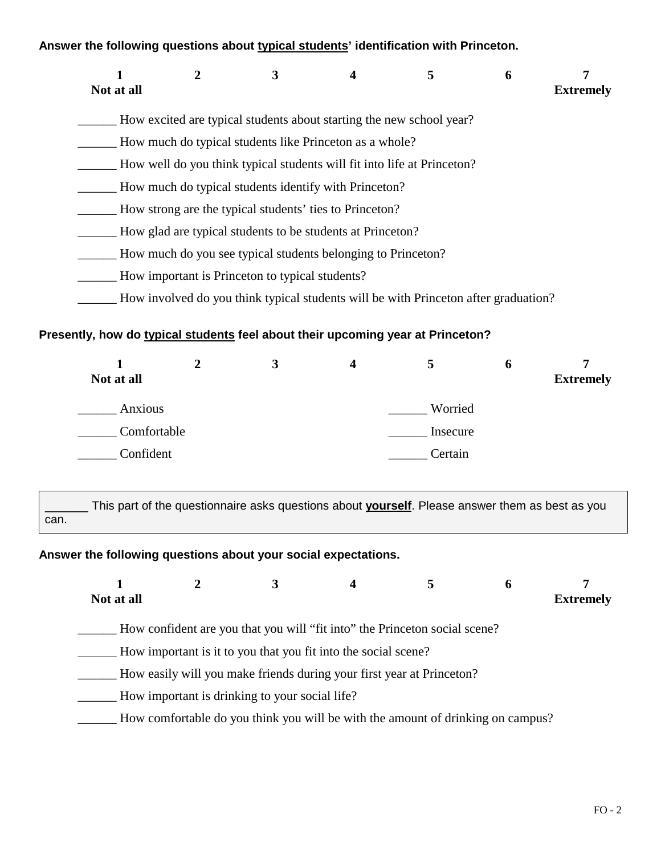# **Answer the following questions about typical students' identification with Princeton.**

| Not at all | 2 | 3                                               |                                                                                     | 5 | 6 | 7<br><b>Extremely</b> |
|------------|---|-------------------------------------------------|-------------------------------------------------------------------------------------|---|---|-----------------------|
|            |   |                                                 | How excited are typical students about starting the new school year?                |   |   |                       |
|            |   |                                                 | How much do typical students like Princeton as a whole?                             |   |   |                       |
|            |   |                                                 | How well do you think typical students will fit into life at Princeton?             |   |   |                       |
|            |   |                                                 | How much do typical students identify with Princeton?                               |   |   |                       |
|            |   |                                                 | How strong are the typical students' ties to Princeton?                             |   |   |                       |
|            |   |                                                 | How glad are typical students to be students at Princeton?                          |   |   |                       |
|            |   |                                                 | How much do you see typical students belonging to Princeton?                        |   |   |                       |
|            |   | How important is Princeton to typical students? |                                                                                     |   |   |                       |
|            |   |                                                 | How involved do you think typical students will be with Princeton after graduation? |   |   |                       |

# **Presently, how do typical students feel about their upcoming year at Princeton?**

| Not at all  |  | 4 |          | o | <b>Extremely</b> |
|-------------|--|---|----------|---|------------------|
| Anxious     |  |   | Worried  |   |                  |
| Comfortable |  |   | Insecure |   |                  |
| Confident   |  |   | Certain  |   |                  |

This part of the questionnaire asks questions about **yourself**. Please answer them as best as you can.

# **Answer the following questions about your social expectations.**

| <b>Extremely</b> | O | 5                                                                               | 4                                                              |                                                | Not at all |  |
|------------------|---|---------------------------------------------------------------------------------|----------------------------------------------------------------|------------------------------------------------|------------|--|
|                  |   | How confident are you that you will "fit into" the Princeton social scene?      |                                                                |                                                |            |  |
|                  |   |                                                                                 | How important is it to you that you fit into the social scene? |                                                |            |  |
|                  |   | How easily will you make friends during your first year at Princeton?           |                                                                |                                                |            |  |
|                  |   |                                                                                 |                                                                | How important is drinking to your social life? |            |  |
|                  |   | How comfortable do you think you will be with the amount of drinking on campus? |                                                                |                                                |            |  |
|                  |   |                                                                                 |                                                                |                                                |            |  |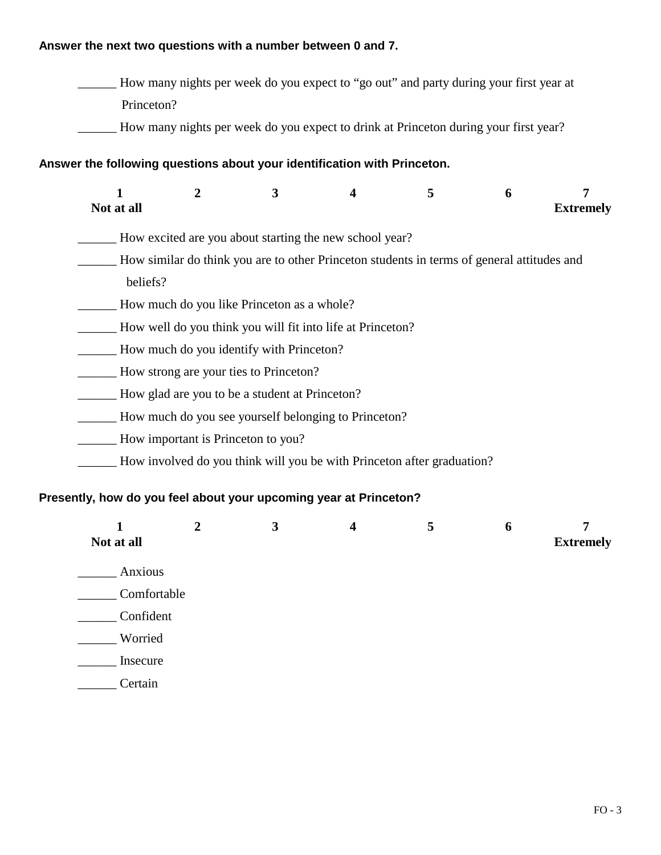# **Answer the next two questions with a number between 0 and 7.**

\_\_\_\_\_\_ How many nights per week do you expect to "go out" and party during your first year at Princeton?

\_\_\_\_\_\_ How many nights per week do you expect to drink at Princeton during your first year?

## **Answer the following questions about your identification with Princeton.**

| Not at all | $\mathbf 2$                        | 3                                              | 4                                                                                          | 5 | 6 | 7<br><b>Extremely</b> |
|------------|------------------------------------|------------------------------------------------|--------------------------------------------------------------------------------------------|---|---|-----------------------|
|            |                                    |                                                | How excited are you about starting the new school year?                                    |   |   |                       |
|            |                                    |                                                | How similar do think you are to other Princeton students in terms of general attitudes and |   |   |                       |
| beliefs?   |                                    |                                                |                                                                                            |   |   |                       |
|            |                                    | How much do you like Princeton as a whole?     |                                                                                            |   |   |                       |
|            |                                    |                                                | How well do you think you will fit into life at Princeton?                                 |   |   |                       |
|            |                                    | How much do you identify with Princeton?       |                                                                                            |   |   |                       |
|            |                                    | How strong are your ties to Princeton?         |                                                                                            |   |   |                       |
|            |                                    | How glad are you to be a student at Princeton? |                                                                                            |   |   |                       |
|            |                                    |                                                | How much do you see yourself belonging to Princeton?                                       |   |   |                       |
|            | How important is Princeton to you? |                                                |                                                                                            |   |   |                       |
|            |                                    |                                                | How involved do you think will you be with Princeton after graduation?                     |   |   |                       |
|            |                                    |                                                | Presently, how do you feel about your upcoming year at Princeton?                          |   |   |                       |
|            |                                    | 3                                              |                                                                                            | 5 | 6 |                       |

| $\sim$<br>Not at all | $\tilde{\phantom{a}}$ | $\tilde{\phantom{a}}$ | $\cdot$ | . .<br><b>Extremely</b> |
|----------------------|-----------------------|-----------------------|---------|-------------------------|
| Anxious              |                       |                       |         |                         |
| Comfortable          |                       |                       |         |                         |
| Confident            |                       |                       |         |                         |
| Worried              |                       |                       |         |                         |
| Insecure             |                       |                       |         |                         |
| Certain              |                       |                       |         |                         |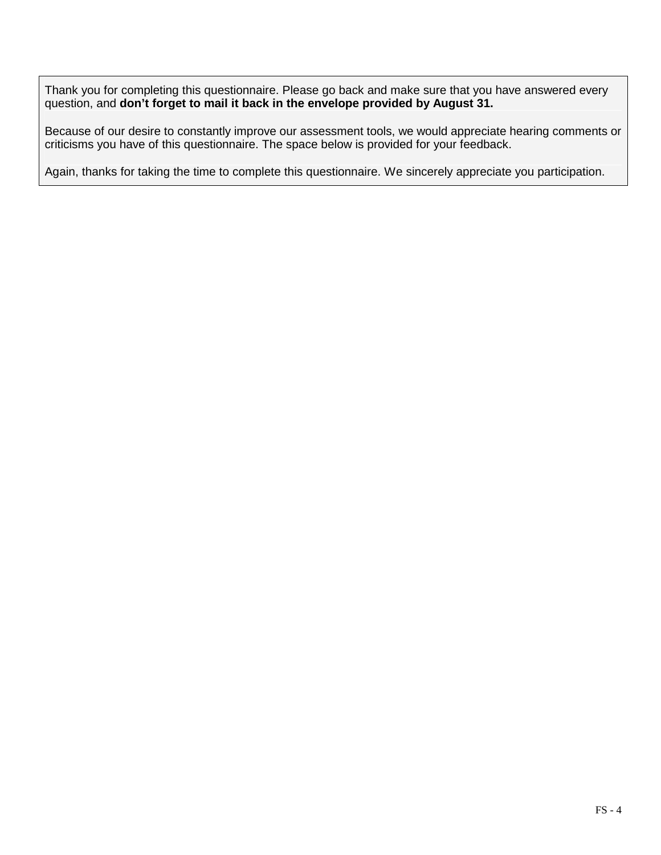Thank you for completing this questionnaire. Please go back and make sure that you have answered every question, and **don't forget to mail it back in the envelope provided by August 31.**

Because of our desire to constantly improve our assessment tools, we would appreciate hearing comments or criticisms you have of this questionnaire. The space below is provided for your feedback.

Again, thanks for taking the time to complete this questionnaire. We sincerely appreciate you participation.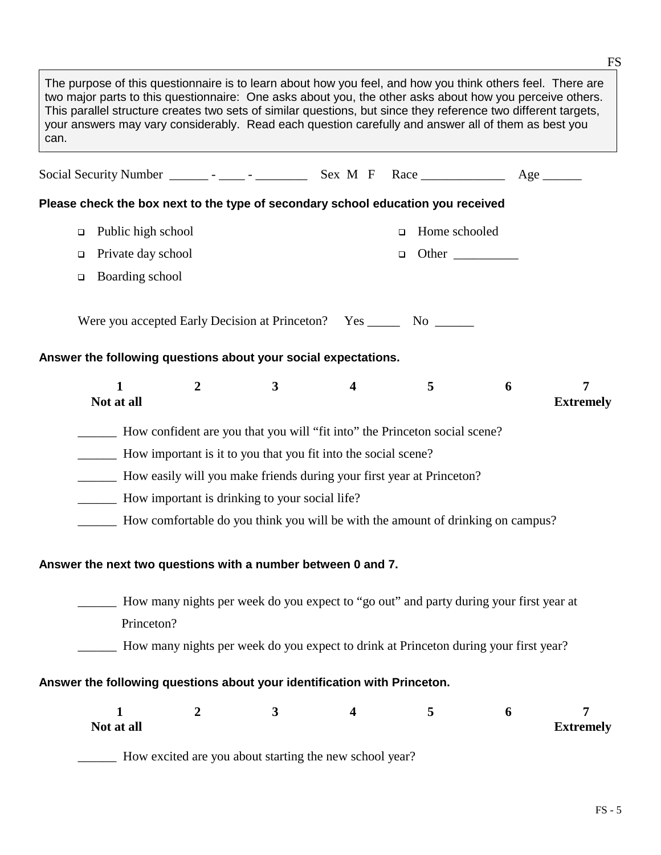The purpose of this questionnaire is to learn about how you feel, and how you think others feel. There are two major parts to this questionnaire: One asks about you, the other asks about how you perceive others. This parallel structure creates two sets of similar questions, but since they reference two different targets, your answers may vary considerably. Read each question carefully and answer all of them as best you can. Social Security Number \_\_\_\_\_\_ - \_\_\_\_\_ - \_\_\_\_\_\_\_\_\_\_\_\_ Sex M F Race \_\_\_\_\_\_\_\_\_\_\_\_\_\_ Age \_\_\_\_\_\_\_ **Please check the box next to the type of secondary school education you received**  p Public high school <sup>q</sup>Private day school **q**Boarding school □ Home schooled <sup>q</sup>Other \_\_\_\_\_\_\_\_\_\_ Were you accepted Early Decision at Princeton? Yes \_\_\_\_\_\_\_ No \_\_\_\_\_\_\_ **Answer the following questions about your social expectations. 1 2 3 4 5 6 7 Not at all Extremely** \_\_\_\_\_\_ How confident are you that you will "fit into" the Princeton social scene? \_\_\_\_\_\_ How important is it to you that you fit into the social scene? How easily will you make friends during your first year at Princeton? \_\_\_\_\_\_ How important is drinking to your social life? \_\_\_\_\_\_ How comfortable do you think you will be with the amount of drinking on campus? **Answer the next two questions with a number between 0 and 7.**  How many nights per week do you expect to "go out" and party during your first year at Princeton? \_\_\_\_\_\_ How many nights per week do you expect to drink at Princeton during your first year? **Answer the following questions about your identification with Princeton. 1 2 3 4 5 6 7 Not at all Extremely** \_\_\_\_\_\_ How excited are you about starting the new school year?

FS - 5

 $-$  FS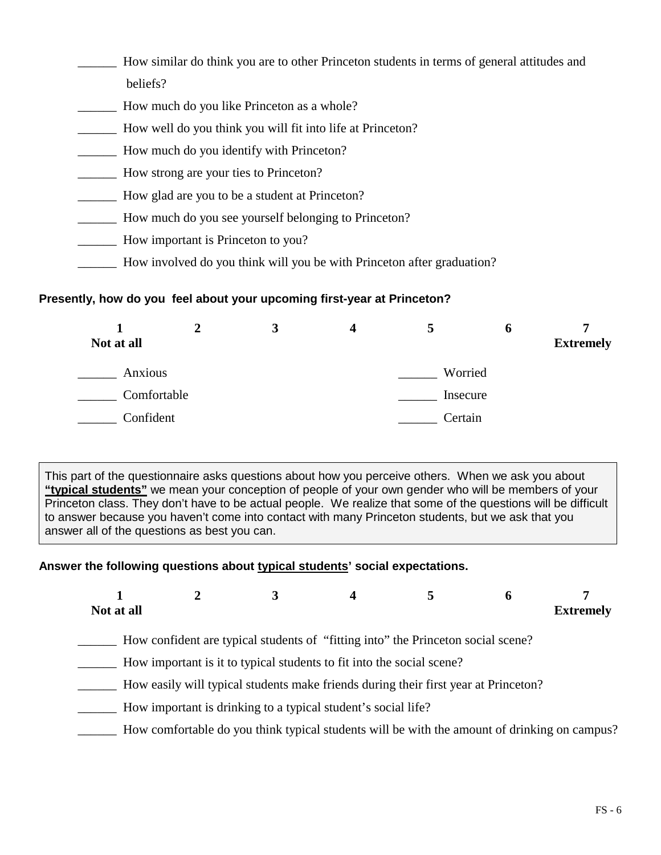- \_\_\_\_\_\_ How similar do think you are to other Princeton students in terms of general attitudes and beliefs?
- \_\_\_\_\_\_ How much do you like Princeton as a whole?
- \_\_\_\_\_\_ How well do you think you will fit into life at Princeton?
- \_\_\_\_\_\_ How much do you identify with Princeton?
- \_\_\_\_\_\_ How strong are your ties to Princeton?
- \_\_\_\_\_\_ How glad are you to be a student at Princeton?
- \_\_\_\_\_\_ How much do you see yourself belonging to Princeton?
- \_\_\_\_\_\_ How important is Princeton to you?
- How involved do you think will you be with Princeton after graduation?

### **Presently, how do you feel about your upcoming first-year at Princeton?**

| Not at all  |  |          | o | <b>Extremely</b> |
|-------------|--|----------|---|------------------|
| Anxious     |  | Worried  |   |                  |
| Comfortable |  | Insecure |   |                  |
| Confident   |  | Certain  |   |                  |

This part of the questionnaire asks questions about how you perceive others. When we ask you about **"typical students"** we mean your conception of people of your own gender who will be members of your Princeton class. They don't have to be actual people. We realize that some of the questions will be difficult to answer because you haven't come into contact with many Princeton students, but we ask that you answer all of the questions as best you can.

## **Answer the following questions about typical students' social expectations.**

| Not at all |                                                                                                                                                           |  | <b>Extremely</b> |
|------------|-----------------------------------------------------------------------------------------------------------------------------------------------------------|--|------------------|
|            | How confident are typical students of "fitting into" the Princeton social scene?<br>How important is it to typical students to fit into the social scene? |  |                  |

- \_\_\_\_\_\_ How easily will typical students make friends during their first year at Princeton?
- How important is drinking to a typical student's social life?
- \_\_\_\_\_\_ How comfortable do you think typical students will be with the amount of drinking on campus?